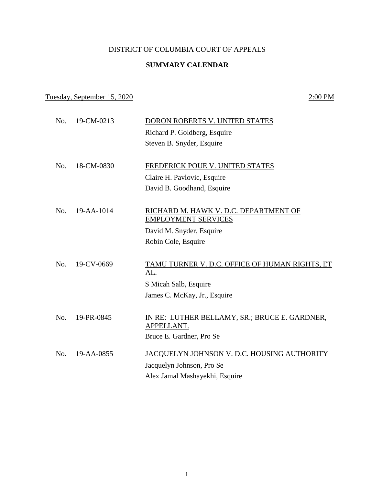## DISTRICT OF COLUMBIA COURT OF APPEALS

### **SUMMARY CALENDAR**

# Tuesday, September 15, 2020 2:00 PM

| No. | 19-CM-0213 | DORON ROBERTS V. UNITED STATES                                      |
|-----|------------|---------------------------------------------------------------------|
|     |            | Richard P. Goldberg, Esquire                                        |
|     |            | Steven B. Snyder, Esquire                                           |
|     |            |                                                                     |
| No. | 18-CM-0830 | FREDERICK POUE V. UNITED STATES                                     |
|     |            | Claire H. Pavlovic, Esquire                                         |
|     |            | David B. Goodhand, Esquire                                          |
|     |            |                                                                     |
| No. | 19-AA-1014 | RICHARD M. HAWK V. D.C. DEPARTMENT OF<br><b>EMPLOYMENT SERVICES</b> |
|     |            | David M. Snyder, Esquire                                            |
|     |            | Robin Cole, Esquire                                                 |
|     |            |                                                                     |
| No. | 19-CV-0669 | TAMU TURNER V. D.C. OFFICE OF HUMAN RIGHTS, ET<br><u>AL.</u>        |
|     |            | S Micah Salb, Esquire                                               |
|     |            | James C. McKay, Jr., Esquire                                        |
|     |            |                                                                     |
| No. | 19-PR-0845 | IN RE: LUTHER BELLAMY, SR.; BRUCE E. GARDNER,                       |
|     |            | APPELLANT.                                                          |
|     |            | Bruce E. Gardner, Pro Se                                            |
| No. | 19-AA-0855 | JACQUELYN JOHNSON V. D.C. HOUSING AUTHORITY                         |
|     |            | Jacquelyn Johnson, Pro Se                                           |
|     |            | Alex Jamal Mashayekhi, Esquire                                      |
|     |            |                                                                     |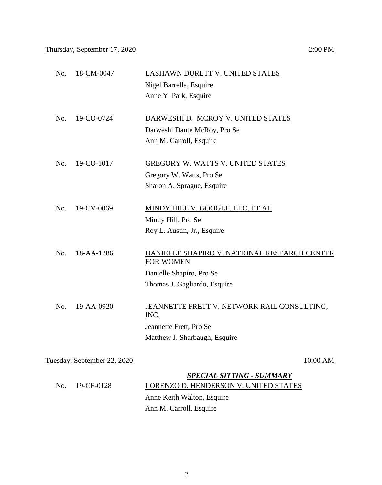### Thursday, September 17, 2020 2:00 PM

# No. 18-CM-0047 LASHAWN DURETT V. UNITED STATES Nigel Barrella, Esquire Anne Y. Park, Esquire No. 19-CO-0724 DARWESHI D. MCROY V. UNITED STATES Darweshi Dante McRoy, Pro Se Ann M. Carroll, Esquire No. 19-CO-1017 GREGORY W. WATTS V. UNITED STATES Gregory W. Watts, Pro Se Sharon A. Sprague, Esquire No. 19-CV-0069 MINDY HILL V. GOOGLE, LLC, ET AL Mindy Hill, Pro Se Roy L. Austin, Jr., Esquire No. 18-AA-1286 DANIELLE SHAPIRO V. NATIONAL RESEARCH CENTER FOR WOMEN Danielle Shapiro, Pro Se Thomas J. Gagliardo, Esquire No. 19-AA-0920 JEANNETTE FRETT V. NETWORK RAIL CONSULTING, INC. Jeannette Frett, Pro Se Matthew J. Sharbaugh, Esquire Tuesday, September 22, 2020 10:00 AM *SPECIAL SITTING - SUMMARY*

|                       | <b>SPECIAL SITTING - SUMMARY</b>      |
|-----------------------|---------------------------------------|
| $\rm{No.}$ 19-CF-0128 | LORENZO D. HENDERSON V. UNITED STATES |
|                       | Anne Keith Walton, Esquire            |
|                       | Ann M. Carroll, Esquire               |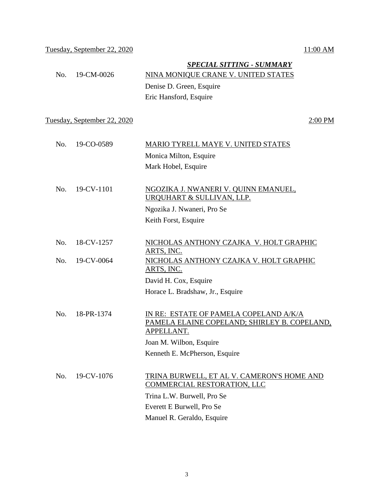### *SPECIAL SITTING - SUMMARY*

No. 19-CM-0026 NINA MONIQUE CRANE V. UNITED STATES Denise D. Green, Esquire Eric Hansford, Esquire

Tuesday, September 22, 2020 2:00 PM

| No. 19-CO-0589 | MARIO TYRELL MAYE V. UNITED STATES |
|----------------|------------------------------------|
|                | Monica Milton, Esquire             |
|                | Mark Hobel, Esquire                |
|                |                                    |

 No. 19-CV-1101 NGOZIKA J. NWANERI V. QUINN EMANUEL, URQUHART & SULLIVAN, LLP. Ngozika J. Nwaneri, Pro Se

Keith Forst, Esquire

| No. 18-CV-1257   | NICHOLAS ANTHONY CZAJKA V. HOLT GRAPHIC |
|------------------|-----------------------------------------|
|                  | ARTS, INC.                              |
| $No. 19-CV-0064$ | NICHOLAS ANTHONY CZAJKA V. HOLT GRAPHIC |
|                  | ARTS, INC.                              |
|                  | David H. Cox, Esquire                   |
|                  | .                                       |

Horace L. Bradshaw, Jr., Esquire

 No. 18-PR-1374 IN RE: ESTATE OF PAMELA COPELAND A/K/A PAMELA ELAINE COPELAND; SHIRLEY B. COPELAND, APPELLANT. Joan M. Wilbon, Esquire

Kenneth E. McPherson, Esquire

## No. 19-CV-1076 TRINA BURWELL, ET AL V. CAMERON'S HOME AND COMMERCIAL RESTORATION, LLC Trina L.W. Burwell, Pro Se Everett E Burwell, Pro Se Manuel R. Geraldo, Esquire